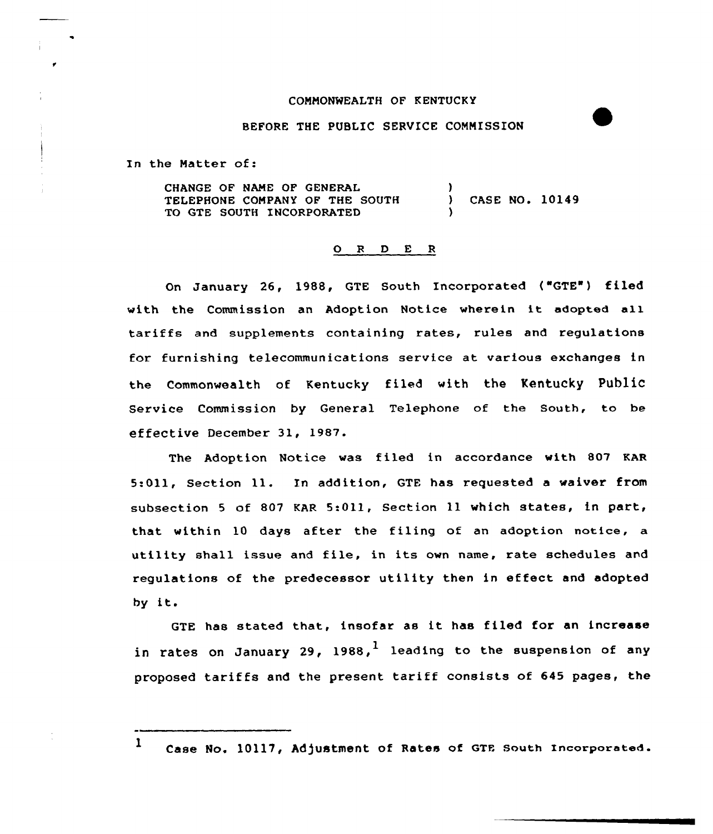## COMMONWEALTH OF KENTUCKY

## BEFORE THE PUBLIC SERVICE COMMISSION

In the Matter of:

CHANGE OF NAME OF GENERAL TELEPHONE COMPANY OF THE SOUTH TO GTE SOUTH INCORPORATED ) CASE NO. 10149 )

## 0 <sup>R</sup> <sup>D</sup> E <sup>R</sup>

On January 26, 1988, GTE South Incorporated ("GTE') filed with the Commission an Adoption Notice wherein it adopted all tariffs and supplements containing rates, rules and regulations for furnishing telecommunications service at various exchanges in the Commonwealth of Kentucky filed with the Kentucky Public Service Commission by General Telephone of the South, to be effective December 31, 1987.

The Adoption Notice was filed in accordance with 807 KAR 5:Oll, Section ll. In addition, GTE has requested <sup>a</sup> waiver from subsection <sup>5</sup> of 807 KAR 5:011, Section ll which states, in part, that within 10 days after the filing of an adoption notice, a utility shall issue and file, in its own name, rate schedules and regulations of the predecessor utility then in effect and adopted by it.

GTE has stated that, insofar as it has filed for an increase in rates on January 29, 1988,<sup>1</sup> leading to the suspension of any proposed tariffs and the present tariff consists of 645 pages, the

1 Case No. 10117, Adjustment of Rates of GTE South Incorporated.